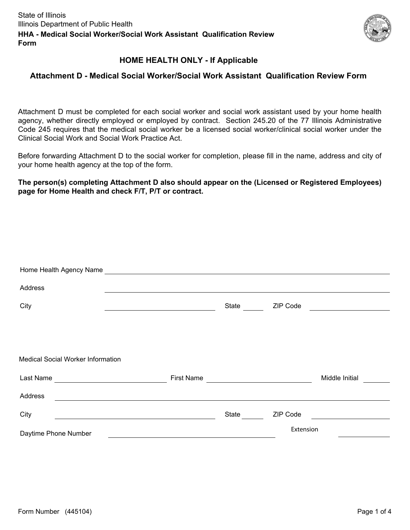

# **HOME HEALTH ONLY - If Applicable**

### **Attachment D - Medical Social Worker/Social Work Assistant Qualification Review Form**

Attachment D must be completed for each social worker and social work assistant used by your home health agency, whether directly employed or employed by contract. Section 245.20 of the 77 Illinois Administrative Code 245 requires that the medical social worker be a licensed social worker/clinical social worker under the Clinical Social Work and Social Work Practice Act.

Before forwarding Attachment D to the social worker for completion, please fill in the name, address and city of your home health agency at the top of the form.

**The person(s) completing Attachment D also should appear on the (Licensed or Registered Employees) page for Home Health and check F/T, P/T or contract.** 

| Home Health Agency Name           |                   |       |           |                |
|-----------------------------------|-------------------|-------|-----------|----------------|
| Address                           |                   |       |           |                |
| City                              |                   | State | ZIP Code  |                |
|                                   |                   |       |           |                |
|                                   |                   |       |           |                |
| Medical Social Worker Information |                   |       |           |                |
| Last Name                         | <b>First Name</b> |       |           | Middle Initial |
| Address                           |                   |       |           |                |
| City                              |                   | State | ZIP Code  |                |
| Daytime Phone Number              |                   |       | Extension |                |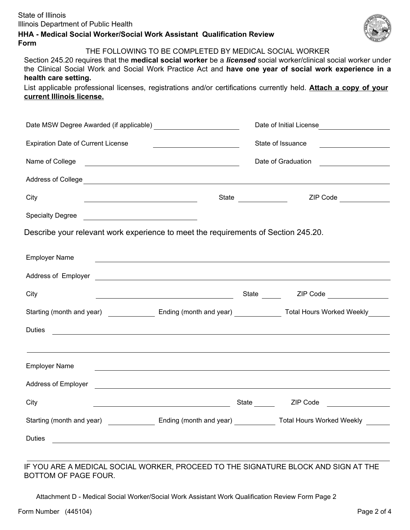| State of Illinois                    |
|--------------------------------------|
| Illinois Department of Public Health |

### **HHA - Medical Social Worker/Social Work Assistant Qualification Review Form**



THE FOLLOWING TO BE COMPLETED BY MEDICAL SOCIAL WORKER

Section 245.20 requires that the **medical social worker** be a *licensed* social worker/clinical social worker under the Clinical Social Work and Social Work Practice Act and **have one year of social work experience in a health care setting.**

List applicable professional licenses, registrations and/or certifications currently held. **Attach a copy of your current Illinois license.**

|                                                                                                                                                                                                                                      | Date of Initial License |                   |                                                                                                                      |  |
|--------------------------------------------------------------------------------------------------------------------------------------------------------------------------------------------------------------------------------------|-------------------------|-------------------|----------------------------------------------------------------------------------------------------------------------|--|
| <b>Expiration Date of Current License</b><br><u> 1986 - Johann Stein, fransk politik (</u>                                                                                                                                           |                         | State of Issuance |                                                                                                                      |  |
| Name of College <b>contained a series of College</b> and College and College and College and College and College and College and College and College and College and College and College and College and College and College and Co  |                         |                   |                                                                                                                      |  |
|                                                                                                                                                                                                                                      |                         |                   |                                                                                                                      |  |
| City<br><u> Alexandria de la contrada de la contrada de la contrada de la contrada de la contrada de la contrada de la c</u>                                                                                                         |                         |                   | ZIP Code                                                                                                             |  |
| Specialty Degree                                                                                                                                                                                                                     |                         |                   |                                                                                                                      |  |
| Describe your relevant work experience to meet the requirements of Section 245.20.                                                                                                                                                   |                         |                   |                                                                                                                      |  |
| <b>Employer Name</b><br><u> Alexandria de la contrada de la contrada de la contrada de la contrada de la contrada de la contrada de la c</u>                                                                                         |                         |                   |                                                                                                                      |  |
| Address of Employer <u>example and the contract of the set of the set of the set of the set of the set of the set of the set of the set of the set of the set of the set of the set of the set of the set of the set of the set </u> |                         |                   |                                                                                                                      |  |
| City                                                                                                                                                                                                                                 |                         |                   |                                                                                                                      |  |
| Starting (month and year) ___________________ Ending (month and year) ________________ Total Hours Worked Weekly                                                                                                                     |                         |                   |                                                                                                                      |  |
| <b>Duties</b><br><u> 1989 - Johann Stoff, amerikansk politiker (d. 1989)</u>                                                                                                                                                         |                         |                   |                                                                                                                      |  |
| ,我们也不会有什么。""我们的人,我们也不会有什么?""我们的人,我们也不会有什么?""我们的人,我们也不会有什么?""我们的人,我们也不会有什么?""我们的人                                                                                                                                                     |                         |                   |                                                                                                                      |  |
| <b>Employer Name</b>                                                                                                                                                                                                                 |                         |                   | <u> Alexandria de la contrada de la contrada de la contrada de la contrada de la contrada de la contrada de la c</u> |  |
| Address of Employer <u>experience and the contract of the contract of the contract of the contract of the contract of</u>                                                                                                            |                         |                   |                                                                                                                      |  |
| City                                                                                                                                                                                                                                 |                         |                   |                                                                                                                      |  |
| Starting (month and year) _________________ Ending (month and year) _____________ Total Hours Worked Weekly ______                                                                                                                   |                         |                   |                                                                                                                      |  |
| <b>Duties</b>                                                                                                                                                                                                                        |                         |                   |                                                                                                                      |  |
|                                                                                                                                                                                                                                      |                         |                   |                                                                                                                      |  |

#### IF YOU ARE A MEDICAL SOCIAL WORKER, PROCEED TO THE SIGNATURE BLOCK AND SIGN AT THE BOTTOM OF PAGE FOUR.

Attachment D - Medical Social Worker/Social Work Assistant Work Qualification Review Form Page 2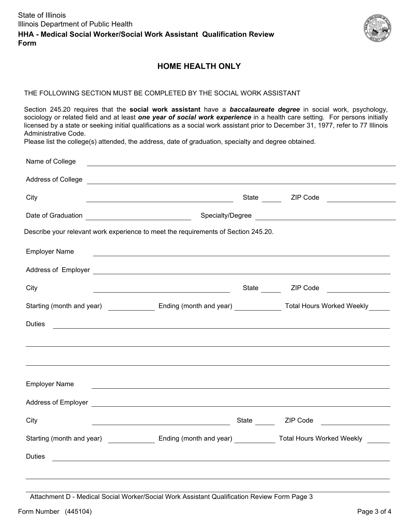

# **HOME HEALTH ONLY**

#### THE FOLLOWING SECTION MUST BE COMPLETED BY THE SOCIAL WORK ASSISTANT

Section 245.20 requires that the **social work assistant** have a *baccalaureate degree* in social work, psychology, sociology or related field and at least *one year of social work experience* in a health care setting. For persons initially licensed by a state or seeking initial qualifications as a social work assistant prior to December 31, 1977, refer to 77 Illinois Administrative Code.

Please list the college(s) attended, the address, date of graduation, specialty and degree obtained.

| Name of College      |                                                                                                                                                                                                                                                                                                                                                                                                                                                             |  |                                                                                                                      |  |  |
|----------------------|-------------------------------------------------------------------------------------------------------------------------------------------------------------------------------------------------------------------------------------------------------------------------------------------------------------------------------------------------------------------------------------------------------------------------------------------------------------|--|----------------------------------------------------------------------------------------------------------------------|--|--|
|                      | Address of College <b>contract to the contract of College</b> and College and College and College and College and College and College and College and College and College and College and College and College and College and Colle                                                                                                                                                                                                                         |  |                                                                                                                      |  |  |
| City                 | <u> 2002 - John Stein, Amerikaansk politiker (</u> † 1838)                                                                                                                                                                                                                                                                                                                                                                                                  |  | State ZIP Code                                                                                                       |  |  |
|                      | Specialty/Degree                                                                                                                                                                                                                                                                                                                                                                                                                                            |  |                                                                                                                      |  |  |
|                      | Describe your relevant work experience to meet the requirements of Section 245.20.                                                                                                                                                                                                                                                                                                                                                                          |  |                                                                                                                      |  |  |
| <b>Employer Name</b> | $\mathcal{L}(\mathcal{L}(\mathcal{L}(\mathcal{L}(\mathcal{L}(\mathcal{L}(\mathcal{L}(\mathcal{L}(\mathcal{L}(\mathcal{L}(\mathcal{L}(\mathcal{L}(\mathcal{L}(\mathcal{L}(\mathcal{L}(\mathcal{L}(\mathcal{L}(\mathcal{L}(\mathcal{L}(\mathcal{L}(\mathcal{L}(\mathcal{L}(\mathcal{L}(\mathcal{L}(\mathcal{L}(\mathcal{L}(\mathcal{L}(\mathcal{L}(\mathcal{L}(\mathcal{L}(\mathcal{L}(\mathcal{L}(\mathcal{L}(\mathcal{L}(\mathcal{L}(\mathcal{L}(\mathcal{$ |  |                                                                                                                      |  |  |
|                      |                                                                                                                                                                                                                                                                                                                                                                                                                                                             |  |                                                                                                                      |  |  |
| City                 | <u> 1989 - Johann Barn, amerikansk politiker (</u>                                                                                                                                                                                                                                                                                                                                                                                                          |  | State <b>ZIP</b> Code                                                                                                |  |  |
|                      |                                                                                                                                                                                                                                                                                                                                                                                                                                                             |  | Starting (month and year) __________________ Ending (month and year) _______________ Total Hours Worked Weekly _____ |  |  |
| <b>Duties</b>        | <u> 1989 - Andrea Station Andrea Station (b. 1989)</u>                                                                                                                                                                                                                                                                                                                                                                                                      |  |                                                                                                                      |  |  |
|                      |                                                                                                                                                                                                                                                                                                                                                                                                                                                             |  |                                                                                                                      |  |  |
|                      |                                                                                                                                                                                                                                                                                                                                                                                                                                                             |  |                                                                                                                      |  |  |
| <b>Employer Name</b> | ,我们也不会有什么。""我们的人,我们也不会有什么?""我们的人,我们也不会有什么?""我们的人,我们的人,我们的人,我们的人,我们的人,我们的人,我们的人,我                                                                                                                                                                                                                                                                                                                                                                            |  |                                                                                                                      |  |  |
|                      | Address of Employer <u>example and the set of the set of the set of the set of the set of the set of the set of the set of the set of the set of the set of the set of the set of the set of the set of the set of the set of th</u>                                                                                                                                                                                                                        |  |                                                                                                                      |  |  |
| City                 | <u> 1989 - Johann Stoff, fransk politik (d. 1989)</u>                                                                                                                                                                                                                                                                                                                                                                                                       |  |                                                                                                                      |  |  |
|                      |                                                                                                                                                                                                                                                                                                                                                                                                                                                             |  | Starting (month and year) Ending (month and year) Total Hours Worked Weekly                                          |  |  |
| <b>Duties</b>        | <u> 1989 - Johann Stoff, amerikansk politiker (d. 1989)</u>                                                                                                                                                                                                                                                                                                                                                                                                 |  |                                                                                                                      |  |  |
|                      |                                                                                                                                                                                                                                                                                                                                                                                                                                                             |  |                                                                                                                      |  |  |

Attachment D - Medical Social Worker/Social Work Assistant Qualification Review Form Page 3